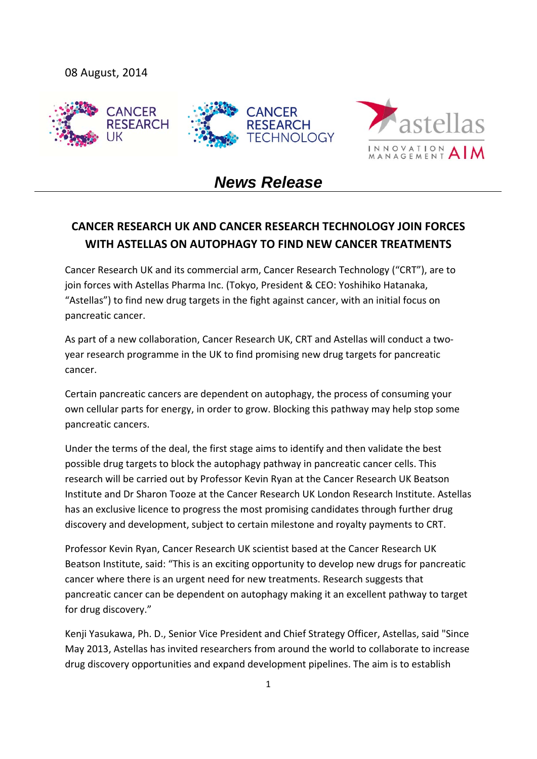



# *News Release*

# **CANCER RESEARCH UK AND CANCER RESEARCH TECHNOLOGY JOIN FORCES WITH ASTELLAS ON AUTOPHAGY TO FIND NEW CANCER TREATMENTS**

Cancer Research UK and its commercial arm, Cancer Research Technology ("CRT"), are to join forces with Astellas Pharma Inc. (Tokyo, President & CEO: Yoshihiko Hatanaka, "Astellas") to find new drug targets in the fight against cancer, with an initial focus on pancreatic cancer.

As part of a new collaboration, Cancer Research UK, CRT and Astellas will conduct a two‐ year research programme in the UK to find promising new drug targets for pancreatic cancer.

Certain pancreatic cancers are dependent on autophagy, the process of consuming your own cellular parts for energy, in order to grow. Blocking this pathway may help stop some pancreatic cancers.

Under the terms of the deal, the first stage aims to identify and then validate the best possible drug targets to block the autophagy pathway in pancreatic cancer cells. This research will be carried out by Professor Kevin Ryan at the Cancer Research UK Beatson Institute and Dr Sharon Tooze at the Cancer Research UK London Research Institute. Astellas has an exclusive licence to progress the most promising candidates through further drug discovery and development, subject to certain milestone and royalty payments to CRT.

Professor Kevin Ryan, Cancer Research UK scientist based at the Cancer Research UK Beatson Institute, said: "This is an exciting opportunity to develop new drugs for pancreatic cancer where there is an urgent need for new treatments. Research suggests that pancreatic cancer can be dependent on autophagy making it an excellent pathway to target for drug discovery."

Kenji Yasukawa, Ph. D., Senior Vice President and Chief Strategy Officer, Astellas, said "Since May 2013, Astellas has invited researchers from around the world to collaborate to increase drug discovery opportunities and expand development pipelines. The aim is to establish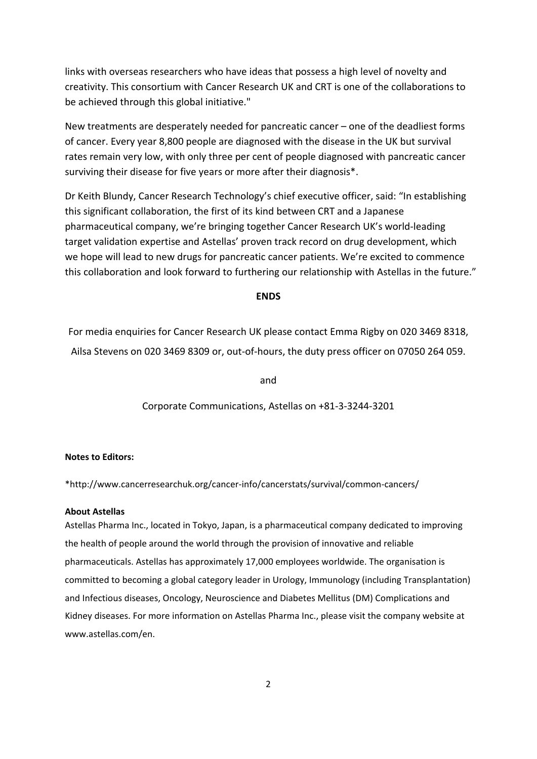links with overseas researchers who have ideas that possess a high level of novelty and creativity. This consortium with Cancer Research UK and CRT is one of the collaborations to be achieved through this global initiative."

New treatments are desperately needed for pancreatic cancer – one of the deadliest forms of cancer. Every year 8,800 people are diagnosed with the disease in the UK but survival rates remain very low, with only three per cent of people diagnosed with pancreatic cancer surviving their disease for five years or more after their diagnosis\*.

Dr Keith Blundy, Cancer Research Technology's chief executive officer, said: "In establishing this significant collaboration, the first of its kind between CRT and a Japanese pharmaceutical company, we're bringing together Cancer Research UK's world‐leading target validation expertise and Astellas' proven track record on drug development, which we hope will lead to new drugs for pancreatic cancer patients. We're excited to commence this collaboration and look forward to furthering our relationship with Astellas in the future."

## **ENDS**

For media enquiries for Cancer Research UK please contact Emma Rigby on 020 3469 8318, Ailsa Stevens on 020 3469 8309 or, out‐of‐hours, the duty press officer on 07050 264 059.

and

Corporate Communications, Astellas on +81‐3‐3244‐3201

## **Notes to Editors:**

\*http://www.cancerresearchuk.org/cancer‐info/cancerstats/survival/common‐cancers/

#### **About Astellas**

Astellas Pharma Inc., located in Tokyo, Japan, is a pharmaceutical company dedicated to improving the health of people around the world through the provision of innovative and reliable pharmaceuticals. Astellas has approximately 17,000 employees worldwide. The organisation is committed to becoming a global category leader in Urology, Immunology (including Transplantation) and Infectious diseases, Oncology, Neuroscience and Diabetes Mellitus (DM) Complications and Kidney diseases. For more information on Astellas Pharma Inc., please visit the company website at www.astellas.com/en.